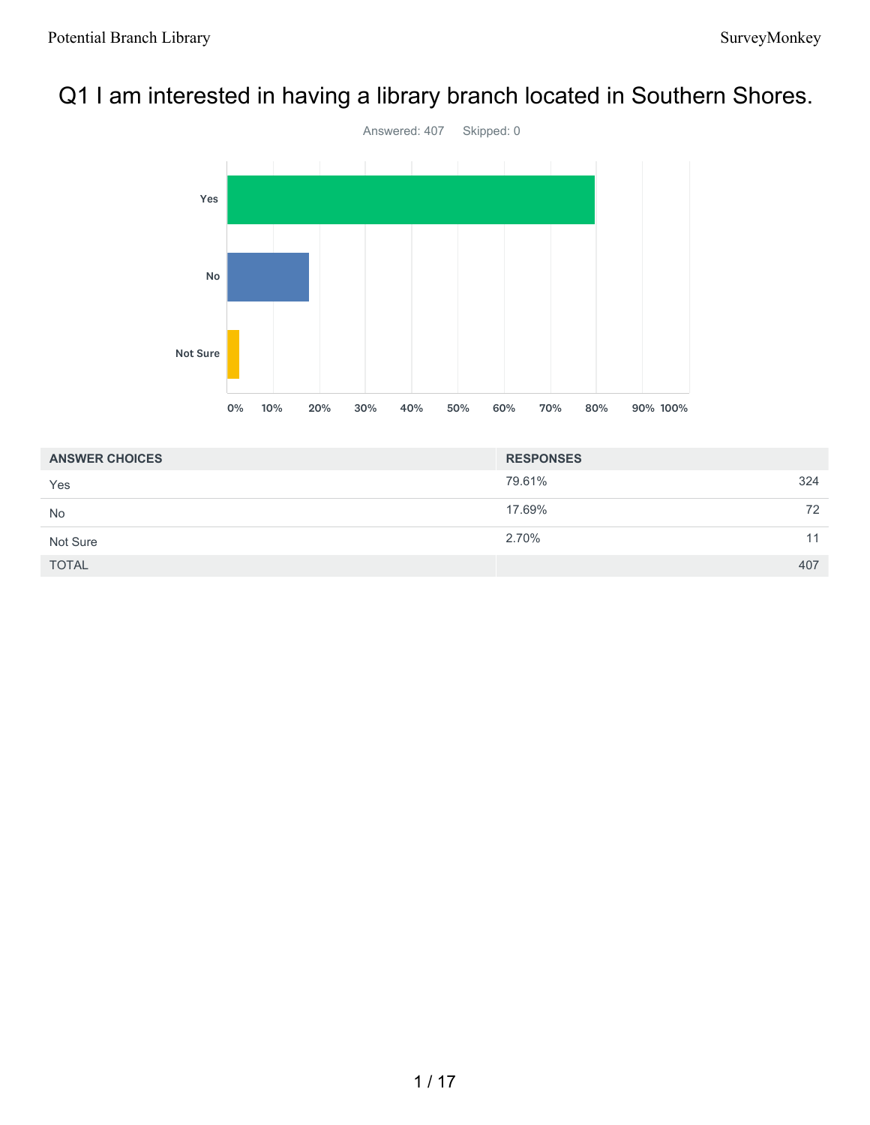# Q1 I am interested in having a library branch located in Southern Shores.



| <b>ANSWER CHOICES</b> | <b>RESPONSES</b> |     |
|-----------------------|------------------|-----|
| Yes                   | 79.61%           | 324 |
| <b>No</b>             | 17.69%           | 72  |
| Not Sure              | 2.70%            | 11  |
| <b>TOTAL</b>          |                  | 407 |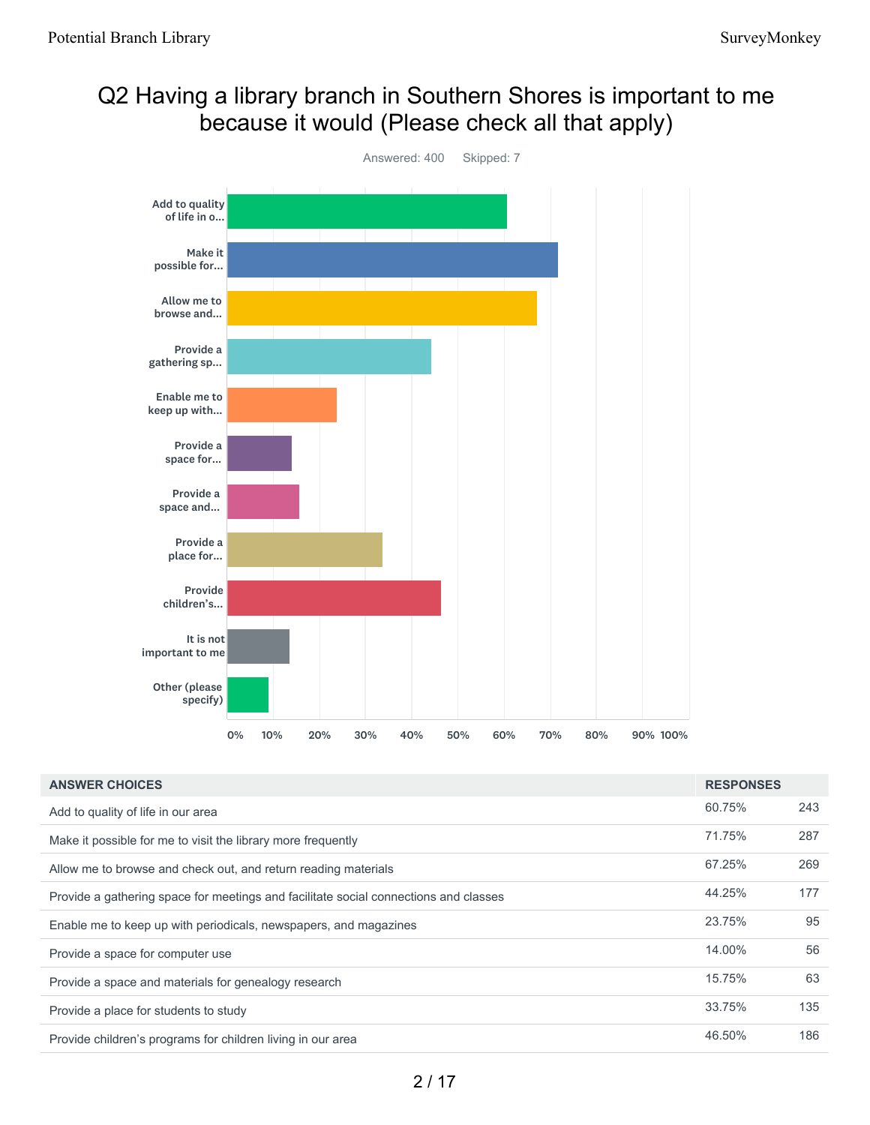## Q2 Having a library branch in Southern Shores is important to me because it would (Please check all that apply)



| <b>ANSWER CHOICES</b>                                                                | <b>RESPONSES</b> |     |
|--------------------------------------------------------------------------------------|------------------|-----|
| Add to quality of life in our area                                                   | 60.75%           | 243 |
| Make it possible for me to visit the library more frequently                         | 71.75%           | 287 |
| Allow me to browse and check out, and return reading materials                       | 67.25%           | 269 |
| Provide a gathering space for meetings and facilitate social connections and classes | 44.25%           | 177 |
| Enable me to keep up with periodicals, newspapers, and magazines                     | 23.75%           | 95  |
| Provide a space for computer use                                                     | 14.00%           | 56  |
| Provide a space and materials for genealogy research                                 | 15.75%           | 63  |
| Provide a place for students to study                                                | 33.75%           | 135 |
| Provide children's programs for children living in our area                          | 46.50%           | 186 |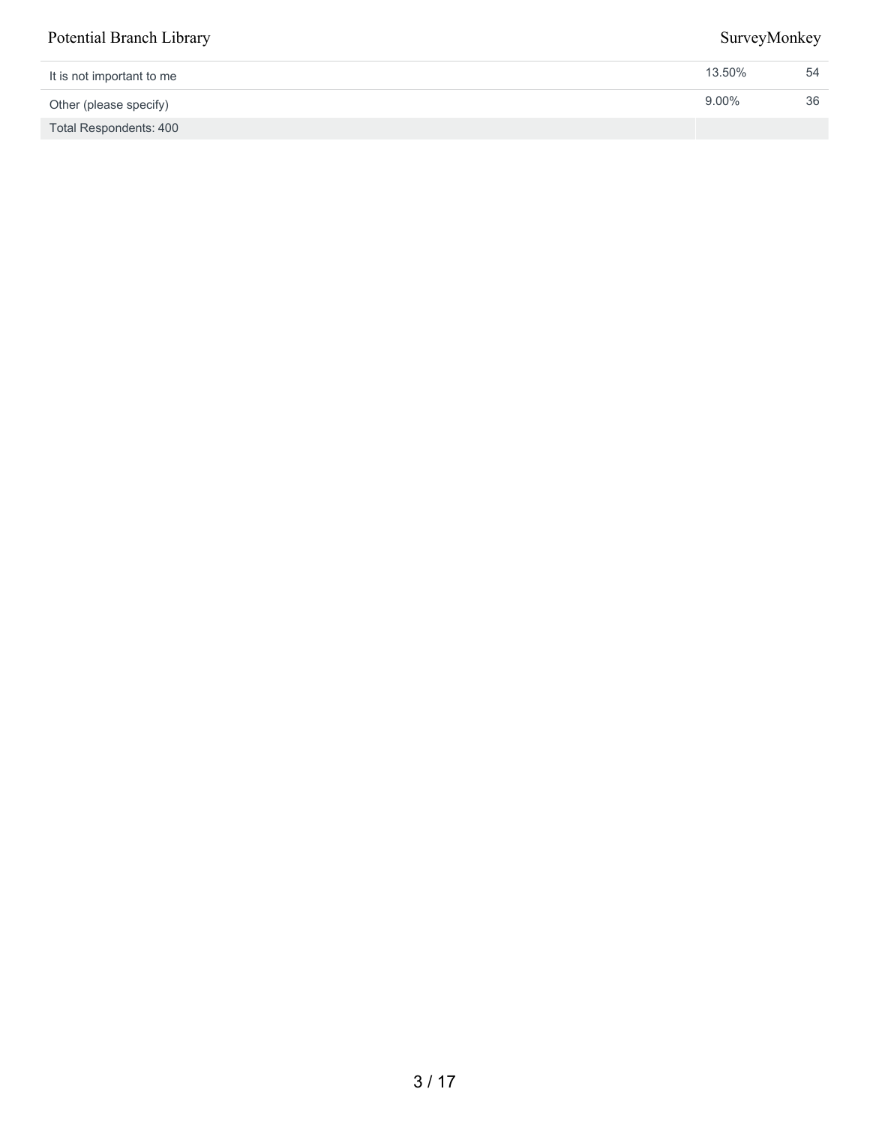| It is not important to me     | 13.50%   | 54 |
|-------------------------------|----------|----|
| Other (please specify)        | $9.00\%$ | 36 |
| <b>Total Respondents: 400</b> |          |    |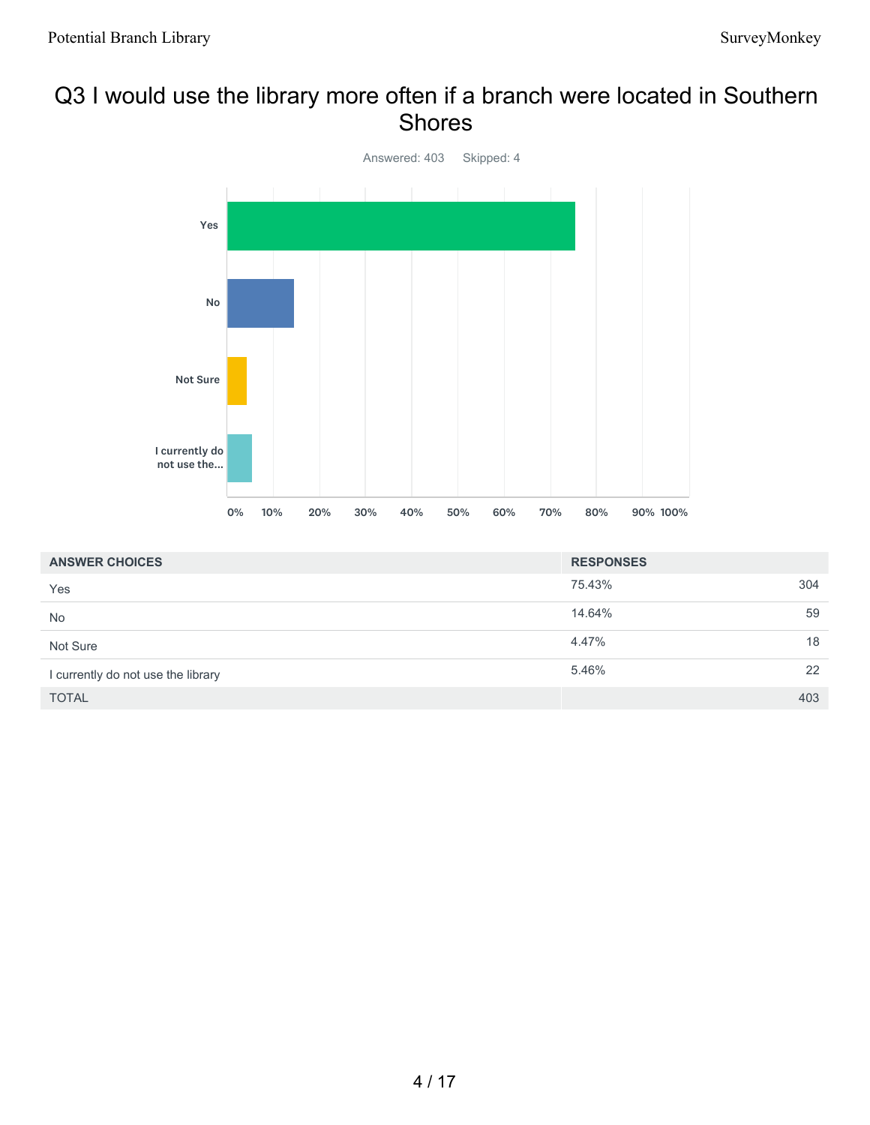## Q3 I would use the library more often if a branch were located in Southern Shores



| <b>ANSWER CHOICES</b>              | <b>RESPONSES</b> |     |
|------------------------------------|------------------|-----|
| Yes                                | 75.43%           | 304 |
| <b>No</b>                          | 14.64%           | 59  |
| Not Sure                           | 4.47%            | 18  |
| I currently do not use the library | 5.46%            | 22  |
| <b>TOTAL</b>                       |                  | 403 |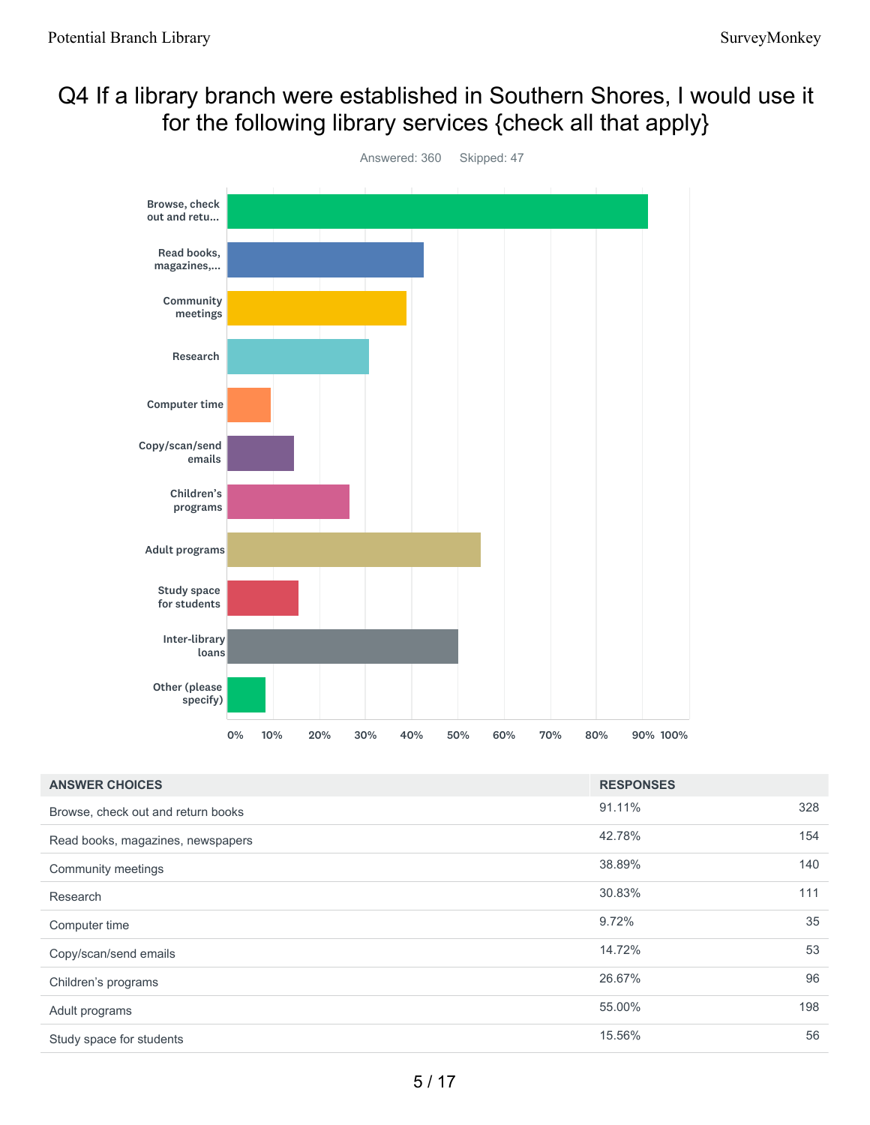## Q4 If a library branch were established in Southern Shores, I would use it for the following library services {check all that apply}



| <b>ANSWER CHOICES</b>              | <b>RESPONSES</b> |     |
|------------------------------------|------------------|-----|
| Browse, check out and return books | 91.11%           | 328 |
| Read books, magazines, newspapers  | 42.78%           | 154 |
| Community meetings                 | 38.89%           | 140 |
| Research                           | 30.83%           | 111 |
| Computer time                      | 9.72%            | 35  |
| Copy/scan/send emails              | 14.72%           | 53  |
| Children's programs                | 26.67%           | 96  |
| Adult programs                     | 55.00%           | 198 |
| Study space for students           | 15.56%           | 56  |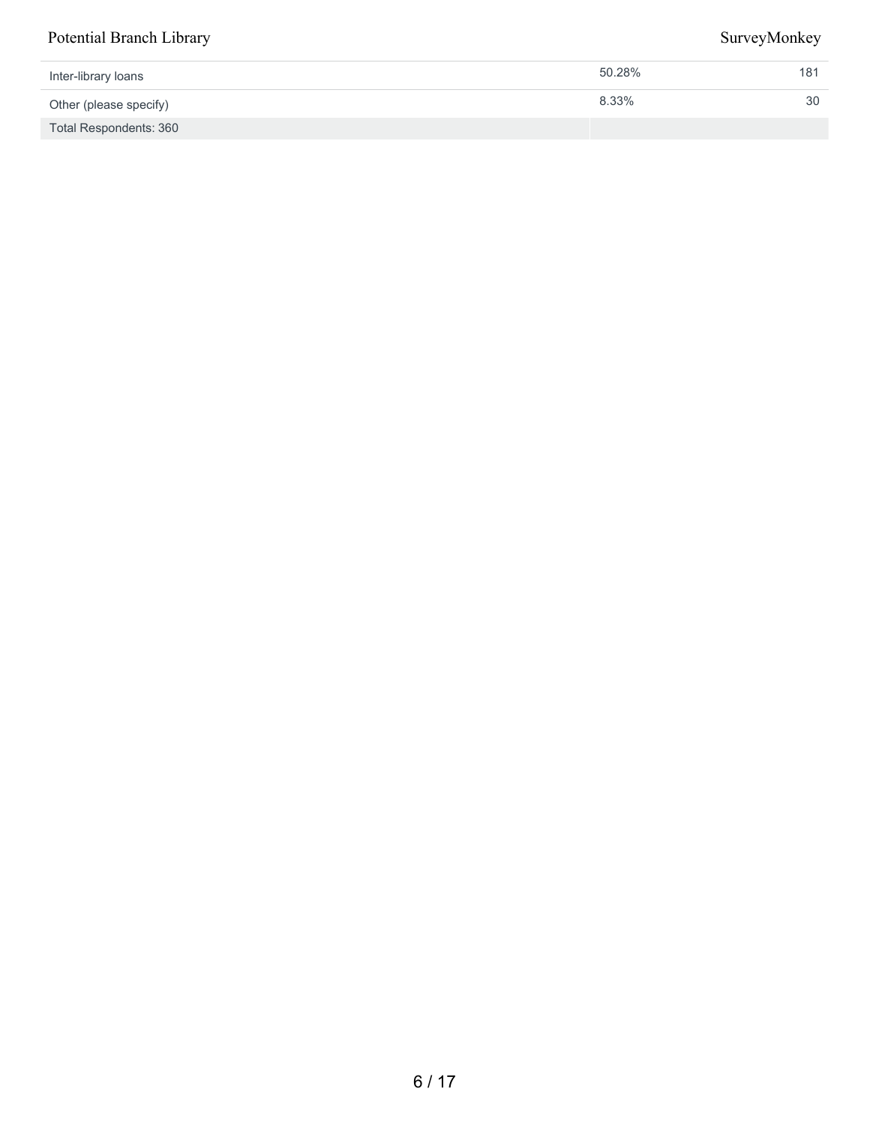| Inter-library loans    | 50.28% | 181 |
|------------------------|--------|-----|
| Other (please specify) | 8.33%  | 30  |
| Total Respondents: 360 |        |     |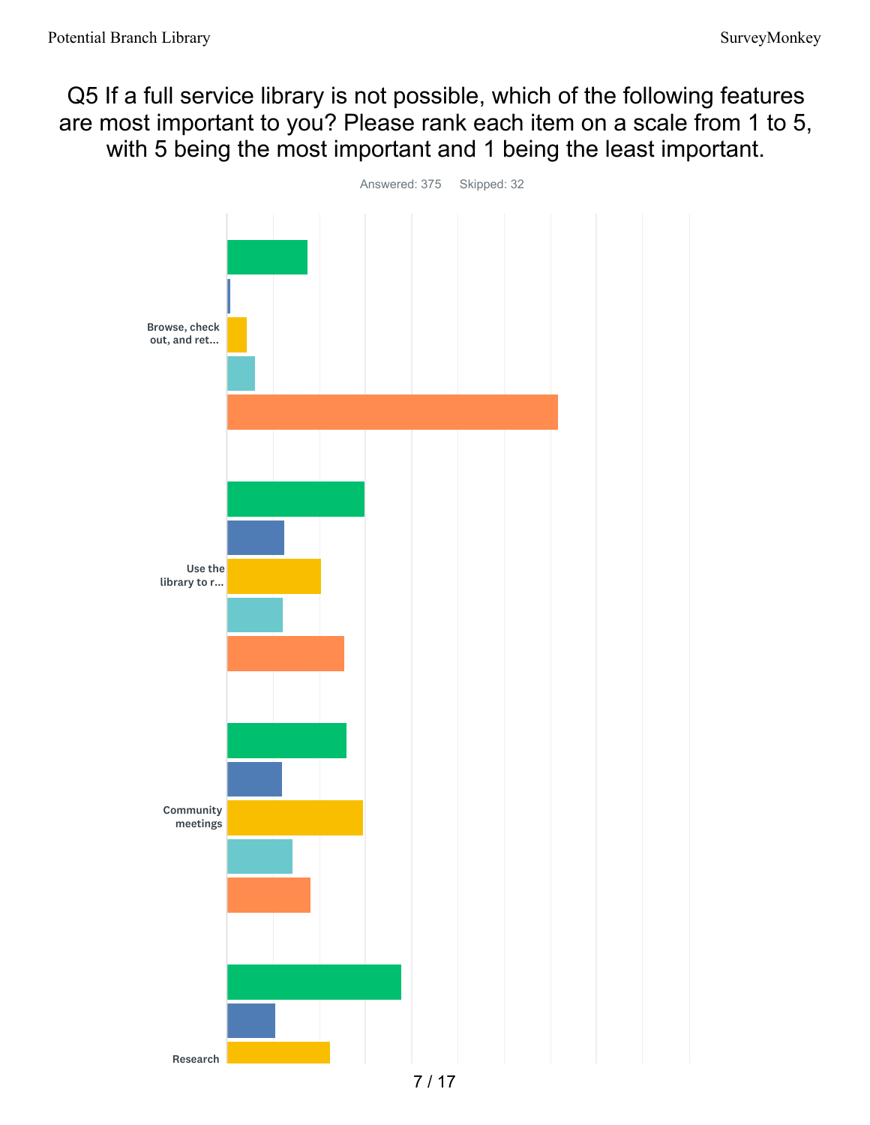Q5 If a full service library is not possible, which of the following features are most important to you? Please rank each item on a scale from 1 to 5, with 5 being the most important and 1 being the least important.

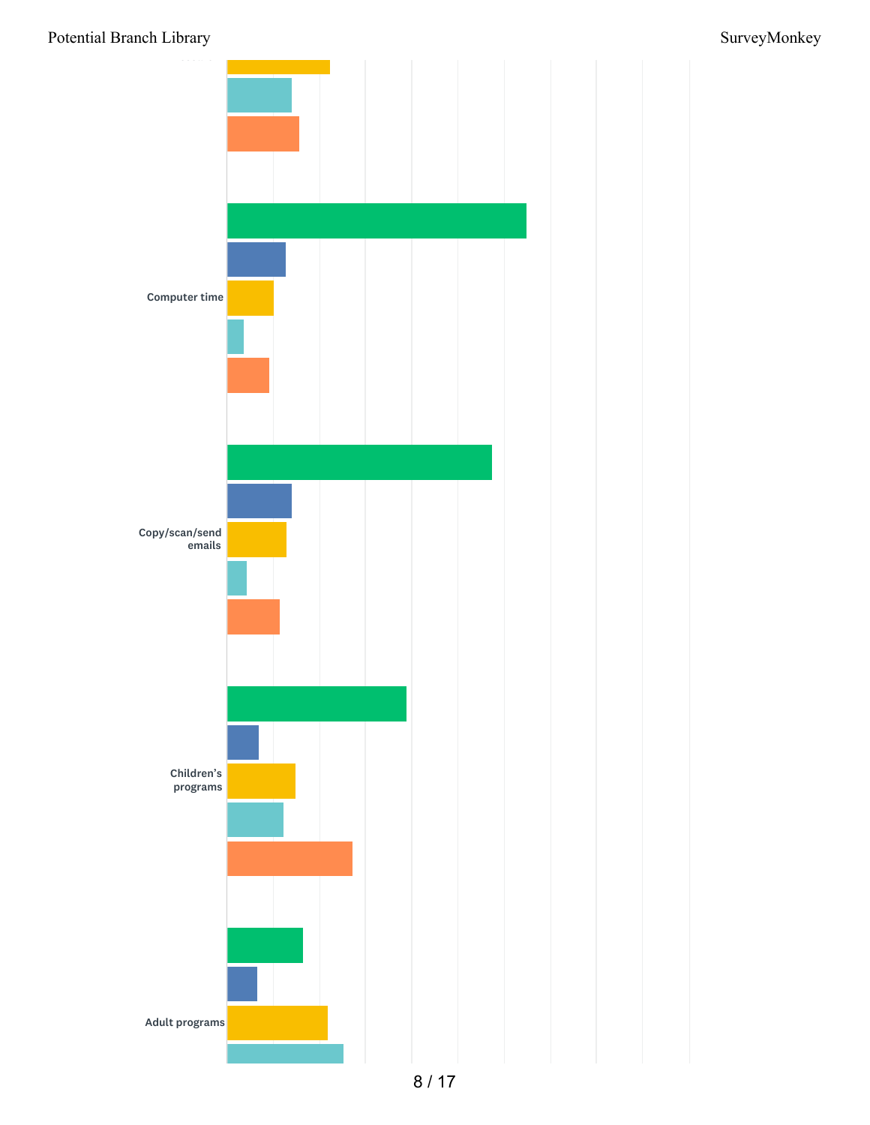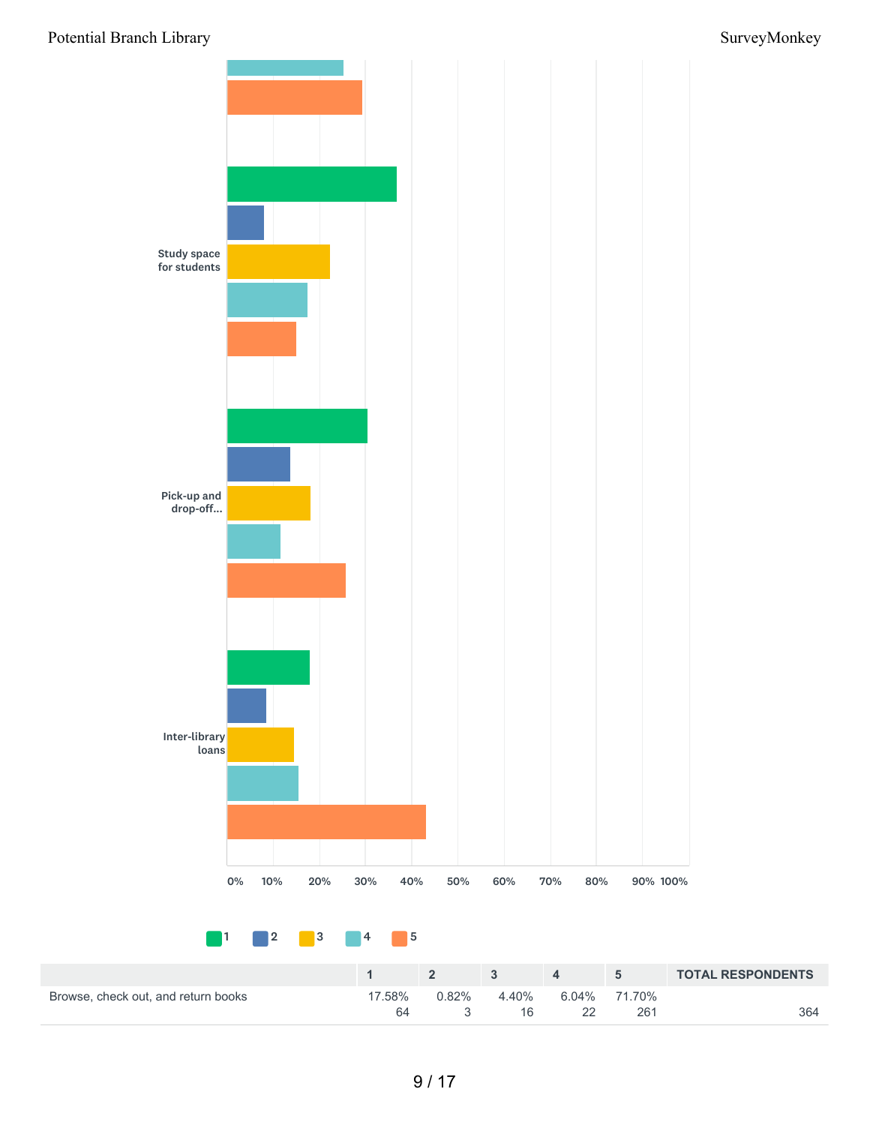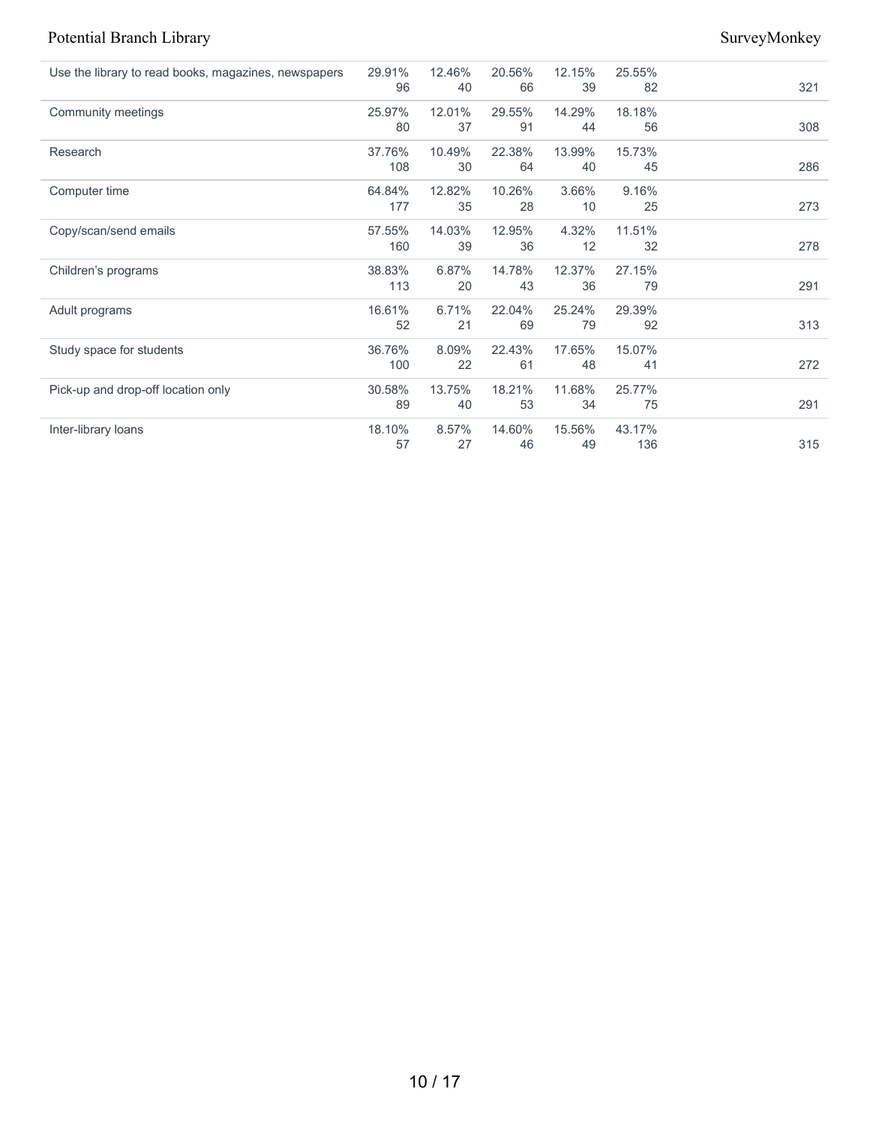| Use the library to read books, magazines, newspapers | 29.91%<br>96 | 12.46%<br>40 | 20.56%<br>66 | 12.15%<br>39 | 25.55%<br>82 | 321 |
|------------------------------------------------------|--------------|--------------|--------------|--------------|--------------|-----|
| Community meetings                                   | 25.97%       | 12.01%       | 29.55%       | 14.29%       | 18.18%       |     |
|                                                      | 80           | 37           | 91           | 44           | 56           | 308 |
| Research                                             | 37.76%       | 10.49%       | 22.38%       | 13.99%       | 15.73%       |     |
|                                                      | 108          | 30           | 64           | 40           | 45           | 286 |
| Computer time                                        | 64.84%       | 12.82%       | 10.26%       | 3.66%        | 9.16%        |     |
|                                                      | 177          | 35           | 28           | 10           | 25           | 273 |
| Copy/scan/send emails                                | 57.55%       | 14.03%       | 12.95%       | 4.32%        | 11.51%       |     |
|                                                      | 160          | 39           | 36           | 12           | 32           | 278 |
| Children's programs                                  | 38.83%       | 6.87%        | 14.78%       | 12.37%       | 27.15%       |     |
|                                                      | 113          | 20           | 43           | 36           | 79           | 291 |
| Adult programs                                       | 16.61%       | 6.71%        | 22.04%       | 25.24%       | 29.39%       |     |
|                                                      | 52           | 21           | 69           | 79           | 92           | 313 |
| Study space for students                             | 36.76%       | 8.09%        | 22.43%       | 17.65%       | 15.07%       |     |
|                                                      | 100          | 22           | 61           | 48           | 41           | 272 |
| Pick-up and drop-off location only                   | 30.58%       | 13.75%       | 18.21%       | 11.68%       | 25.77%       |     |
|                                                      | 89           | 40           | 53           | 34           | 75           | 291 |
| Inter-library loans                                  | 18.10%       | 8.57%        | 14.60%       | 15.56%       | 43.17%       |     |
|                                                      | 57           | 27           | 46           | 49           | 136          | 315 |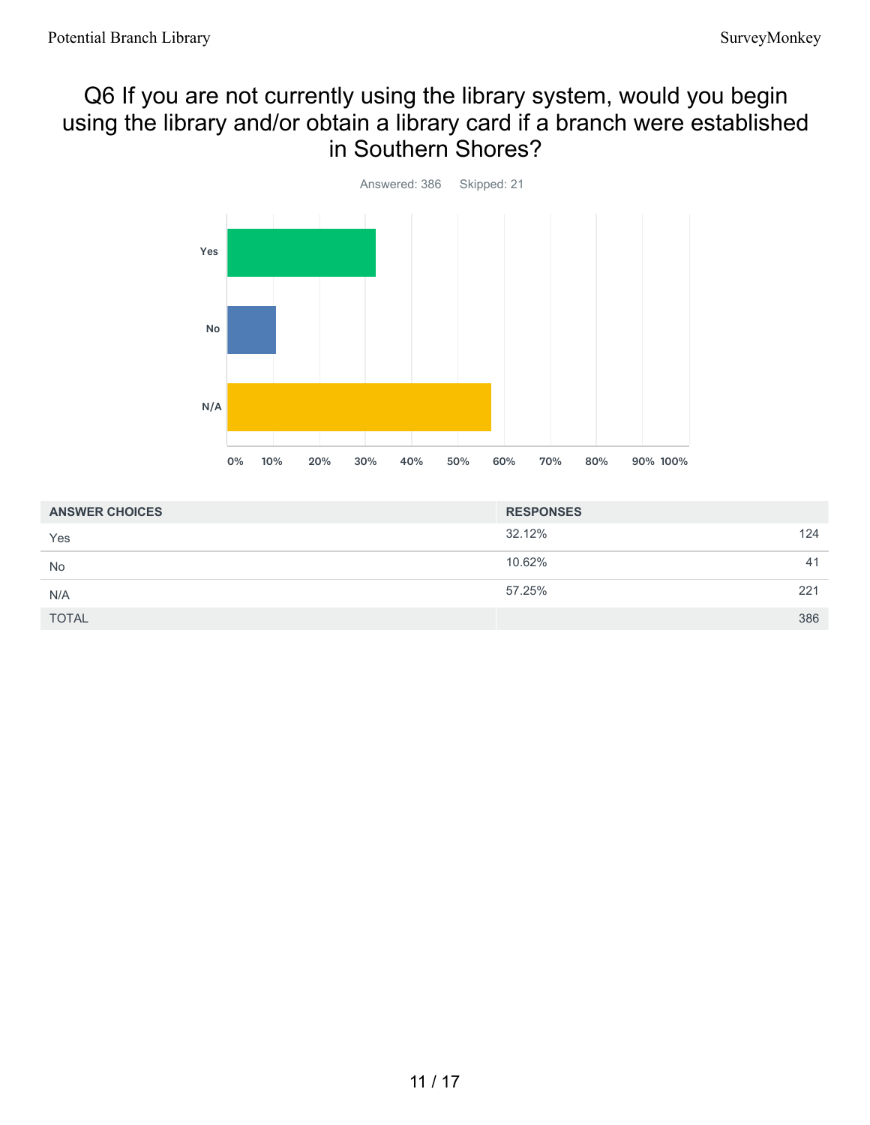## Q6 If you are not currently using the library system, would you begin using the library and/or obtain a library card if a branch were established in Southern Shores?



| <b>ANSWER CHOICES</b> | <b>RESPONSES</b> |  |
|-----------------------|------------------|--|
| Yes                   | 32.12%<br>124    |  |
| <b>No</b>             | 10.62%<br>41     |  |
| N/A                   | 57.25%<br>221    |  |
| <b>TOTAL</b>          | 386              |  |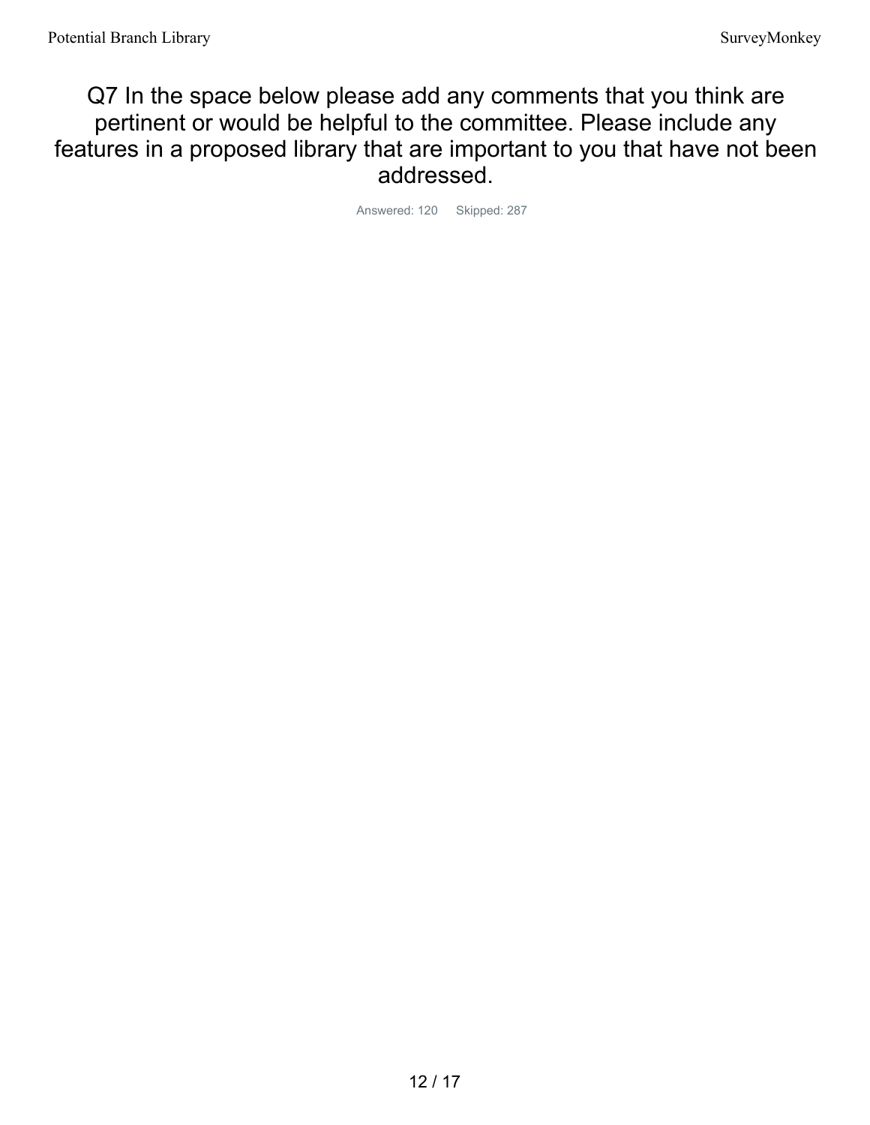Q7 In the space below please add any comments that you think are pertinent or would be helpful to the committee. Please include any features in a proposed library that are important to you that have not been addressed.

Answered: 120 Skipped: 287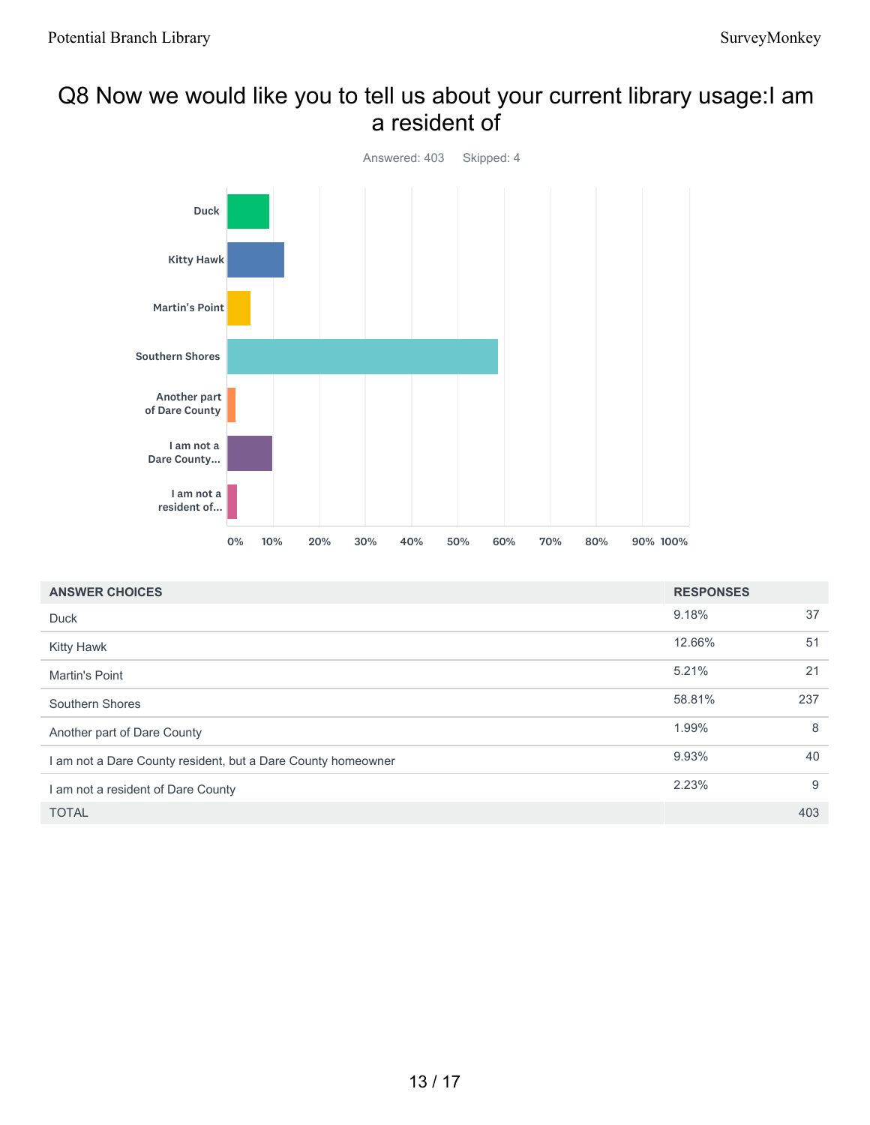### Q8 Now we would like you to tell us about your current library usage:I am a resident of



| <b>ANSWER CHOICES</b>                                        | <b>RESPONSES</b> |     |
|--------------------------------------------------------------|------------------|-----|
| Duck                                                         | 9.18%            | 37  |
| <b>Kitty Hawk</b>                                            | 12.66%           | 51  |
| <b>Martin's Point</b>                                        | 5.21%            | 21  |
| Southern Shores                                              | 58.81%           | 237 |
| Another part of Dare County                                  | 1.99%            | 8   |
| I am not a Dare County resident, but a Dare County homeowner | 9.93%            | 40  |
| I am not a resident of Dare County                           | 2.23%            | 9   |
| <b>TOTAL</b>                                                 |                  | 403 |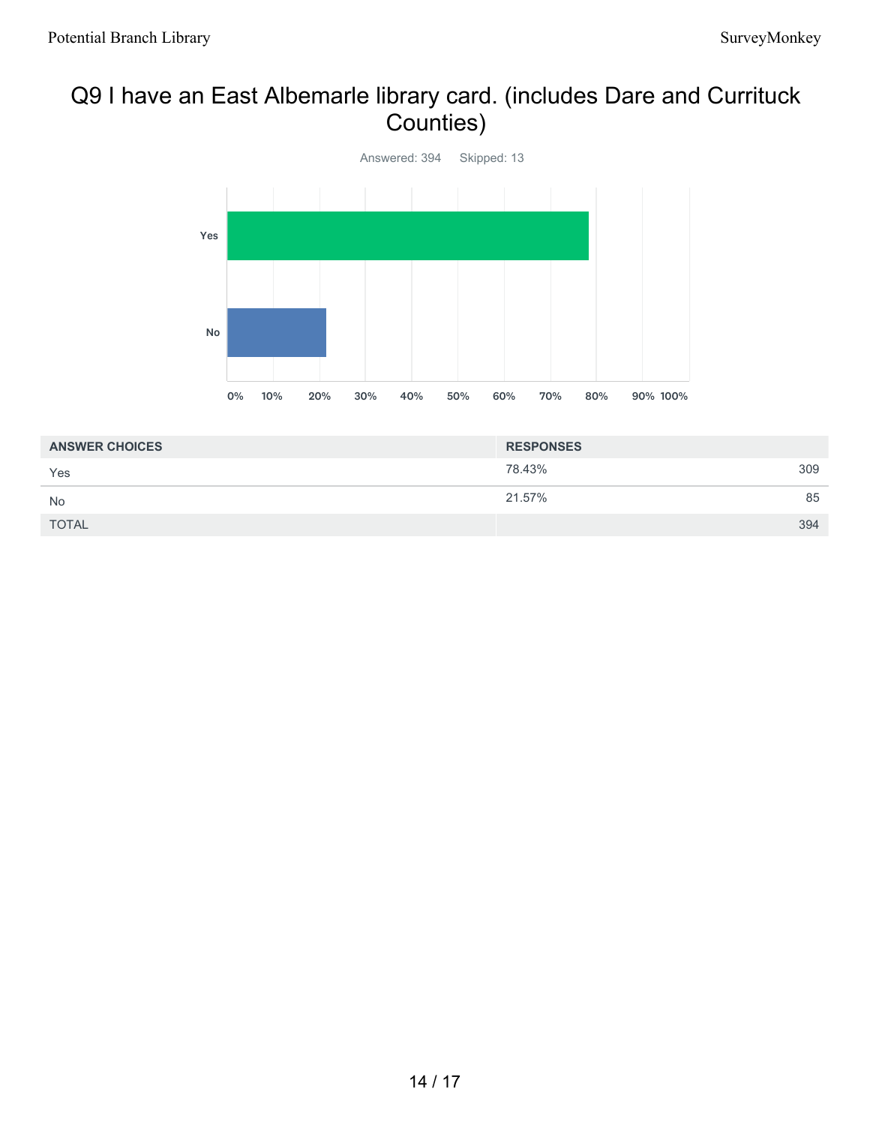## Q9 I have an East Albemarle library card. (includes Dare and Currituck Counties)



| <b>ANSWER CHOICES</b> | <b>RESPONSES</b> |     |
|-----------------------|------------------|-----|
| Yes                   | 78.43%           | 309 |
| <b>No</b>             | 21.57%           | 85  |
| <b>TOTAL</b>          |                  | 394 |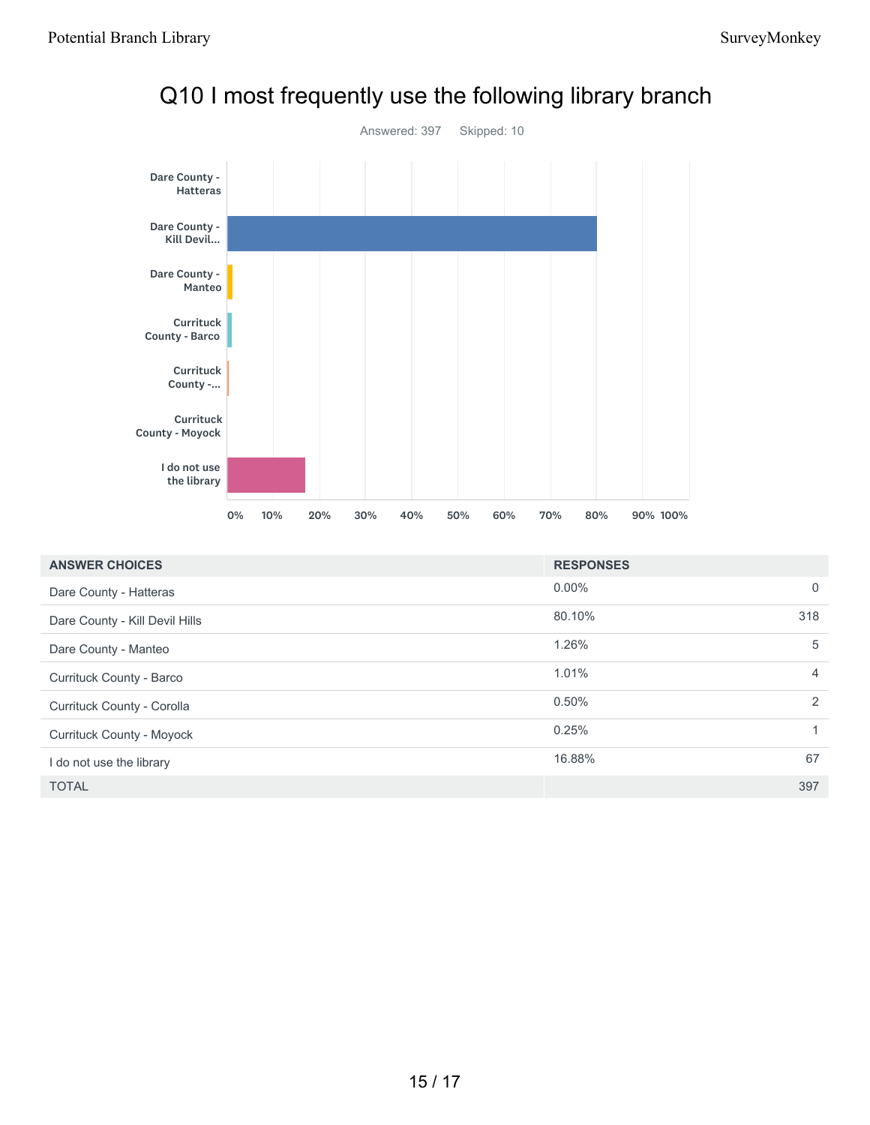

## Q10 I most frequently use the following library branch

| <b>ANSWER CHOICES</b>            | <b>RESPONSES</b> |                |
|----------------------------------|------------------|----------------|
| Dare County - Hatteras           | $0.00\%$         | $\Omega$       |
| Dare County - Kill Devil Hills   | 80.10%           | 318            |
| Dare County - Manteo             | 1.26%            | 5              |
| Currituck County - Barco         | 1.01%            | 4              |
| Currituck County - Corolla       | 0.50%            | $\mathfrak{p}$ |
| <b>Currituck County - Moyock</b> | 0.25%            |                |
| I do not use the library         | 16.88%           | 67             |
| <b>TOTAL</b>                     |                  | 397            |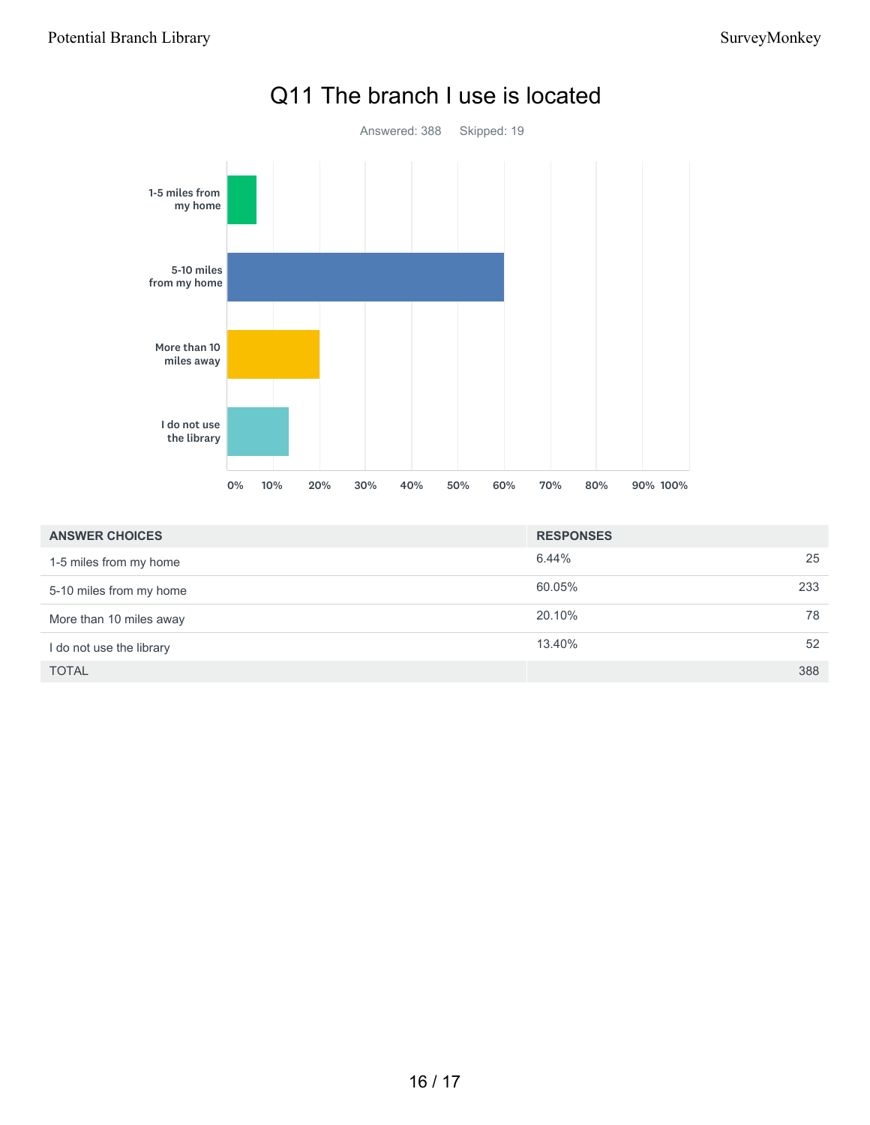

| <b>ANSWER CHOICES</b>    | <b>RESPONSES</b> |     |
|--------------------------|------------------|-----|
| 1-5 miles from my home   | 6.44%            | 25  |
| 5-10 miles from my home  | 60.05%           | 233 |
| More than 10 miles away  | 20.10%           | 78  |
| I do not use the library | 13.40%           | 52  |
| <b>TOTAL</b>             |                  | 388 |

## Q11 The branch I use is located